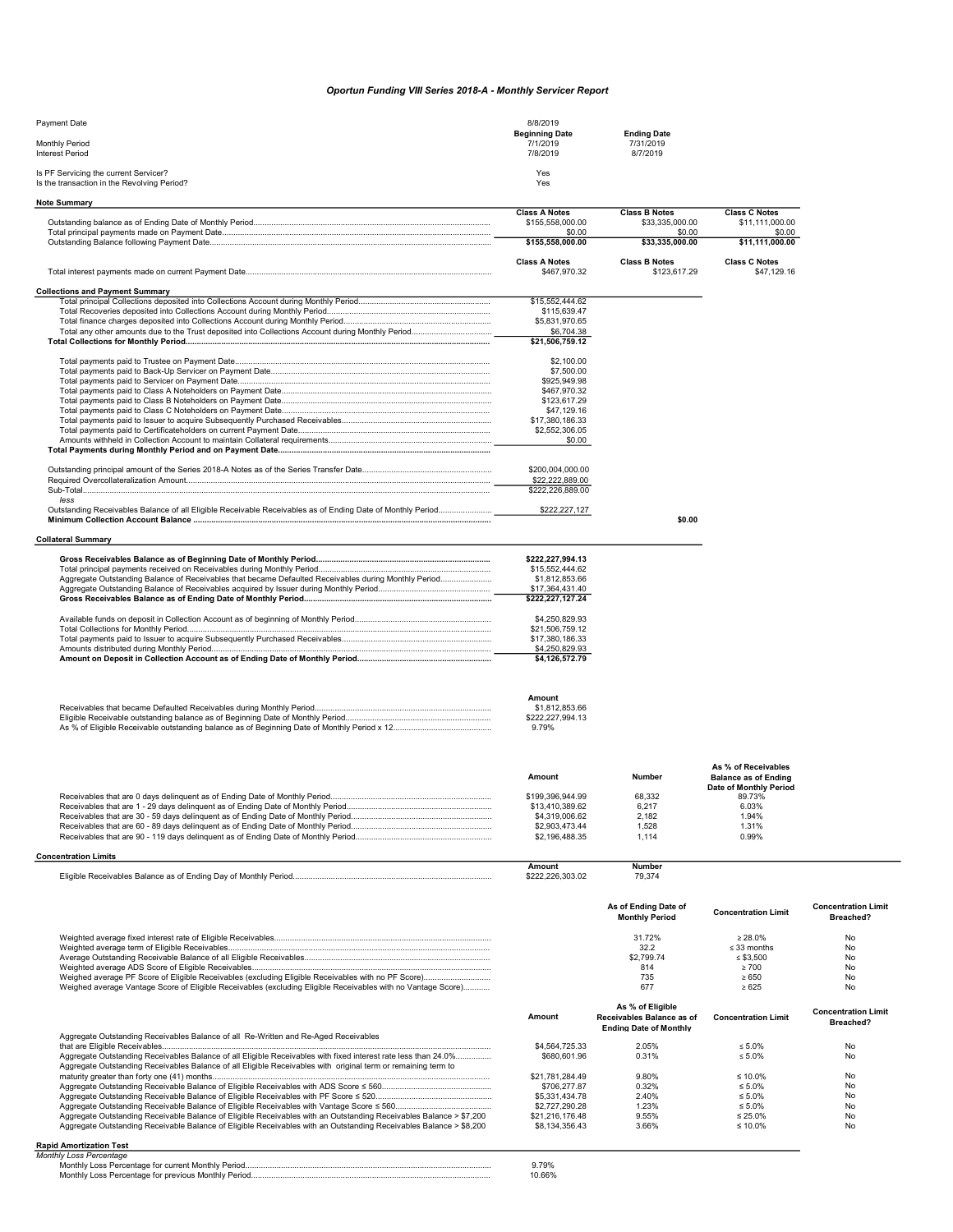## Oportun Funding VIII Series 2018-A - Monthly Servicer Report

| Payment Date                                                                         | 8/8/2019                                      |                                             |                                         |
|--------------------------------------------------------------------------------------|-----------------------------------------------|---------------------------------------------|-----------------------------------------|
| Monthly Period<br><b>Interest Period</b>                                             | <b>Beginning Date</b><br>7/1/2019<br>7/8/2019 | <b>Ending Date</b><br>7/31/2019<br>8/7/2019 |                                         |
| Is PF Servicing the current Servicer?<br>Is the transaction in the Revolving Period? | Yes<br>Yes                                    |                                             |                                         |
| <b>Note Summary</b>                                                                  |                                               |                                             |                                         |
|                                                                                      | <b>Class A Notes</b><br>\$155,558,000.00      | <b>Class B Notes</b><br>\$33.335.000.00     | <b>Class C Notes</b><br>\$11.111.000.00 |

|                                                                                                            | \$0.00               | \$0.00               | \$0.00                      |
|------------------------------------------------------------------------------------------------------------|----------------------|----------------------|-----------------------------|
|                                                                                                            | \$155,558,000.00     | \$33,335,000.00      | \$11,111,000.00             |
|                                                                                                            |                      |                      |                             |
|                                                                                                            | <b>Class A Notes</b> | <b>Class B Notes</b> | <b>Class C Notes</b>        |
|                                                                                                            | \$467,970.32         | \$123.617.29         | \$47,129.16                 |
|                                                                                                            |                      |                      |                             |
| <b>Collections and Payment Summary</b>                                                                     |                      |                      |                             |
|                                                                                                            | \$15,552,444.62      |                      |                             |
|                                                                                                            | \$115,639.47         |                      |                             |
|                                                                                                            | \$5,831,970.65       |                      |                             |
|                                                                                                            | \$6,704.38           |                      |                             |
|                                                                                                            | \$21,506,759.12      |                      |                             |
|                                                                                                            |                      |                      |                             |
|                                                                                                            | \$2,100.00           |                      |                             |
|                                                                                                            | \$7,500.00           |                      |                             |
|                                                                                                            | \$925.949.98         |                      |                             |
|                                                                                                            | \$467,970.32         |                      |                             |
|                                                                                                            | \$123,617.29         |                      |                             |
|                                                                                                            | \$47,129.16          |                      |                             |
|                                                                                                            | \$17,380,186.33      |                      |                             |
|                                                                                                            | \$2,552,306.05       |                      |                             |
|                                                                                                            | \$0.00               |                      |                             |
|                                                                                                            |                      |                      |                             |
|                                                                                                            |                      |                      |                             |
|                                                                                                            | \$200,004,000.00     |                      |                             |
|                                                                                                            | \$22,222,889.00      |                      |                             |
|                                                                                                            | \$222.226.889.00     |                      |                             |
| less                                                                                                       |                      |                      |                             |
| Outstanding Receivables Balance of all Eligible Receivable Receivables as of Ending Date of Monthly Period | \$222,227,127        |                      |                             |
|                                                                                                            |                      | \$0.00               |                             |
|                                                                                                            |                      |                      |                             |
| <b>Collateral Summary</b>                                                                                  |                      |                      |                             |
|                                                                                                            |                      |                      |                             |
|                                                                                                            | \$222.227.994.13     |                      |                             |
|                                                                                                            | \$15,552,444.62      |                      |                             |
| Aggregate Outstanding Balance of Receivables that became Defaulted Receivables during Monthly Period       | \$1,812,853.66       |                      |                             |
|                                                                                                            | \$17,364,431.40      |                      |                             |
|                                                                                                            | \$222,227,127.24     |                      |                             |
|                                                                                                            |                      |                      |                             |
|                                                                                                            | \$4,250,829.93       |                      |                             |
|                                                                                                            | \$21,506,759.12      |                      |                             |
|                                                                                                            | \$17,380,186.33      |                      |                             |
|                                                                                                            | \$4,250,829.93       |                      |                             |
|                                                                                                            | \$4.126.572.79       |                      |                             |
|                                                                                                            |                      |                      |                             |
|                                                                                                            |                      |                      |                             |
|                                                                                                            |                      |                      |                             |
|                                                                                                            | Amount               |                      |                             |
|                                                                                                            | \$1,812,853.66       |                      |                             |
|                                                                                                            | \$222,227,994.13     |                      |                             |
|                                                                                                            | 9.79%                |                      |                             |
|                                                                                                            |                      |                      |                             |
|                                                                                                            |                      |                      |                             |
|                                                                                                            |                      |                      |                             |
|                                                                                                            |                      |                      | As % of Receivables         |
|                                                                                                            | Amount               | Number               | <b>Balance as of Ending</b> |
|                                                                                                            |                      |                      | Date of Monthly Period      |
|                                                                                                            | \$199,396,944.99     | 68,332               | 89.73%                      |
|                                                                                                            | \$13,410,389.62      | 6.217                | 6.03%                       |
|                                                                                                            | \$4,319,006.62       | 2.182                | 1.94%                       |
|                                                                                                            | \$2.903.473.44       | 1.528                | 1.31%                       |
|                                                                                                            | \$2,196,488.35       | 1,114                | 0.99%                       |
|                                                                                                            |                      |                      |                             |

Concentration Limits

Amount Number<br>\$222,226,303.02 79,374 Eligible Receivables Balance as of Ending Day of Monthly Period......................................................................................... \$222,226,303.02 79,374

|                                                                                                                                                                                                                                 |                 | As of Ending Date of<br><b>Monthly Period</b>                                  | <b>Concentration Limit</b> | <b>Concentration Limit</b><br>Breached? |
|---------------------------------------------------------------------------------------------------------------------------------------------------------------------------------------------------------------------------------|-----------------|--------------------------------------------------------------------------------|----------------------------|-----------------------------------------|
|                                                                                                                                                                                                                                 |                 | 31.72%                                                                         | $\geq 28.0\%$              | No                                      |
|                                                                                                                                                                                                                                 |                 | 32.2                                                                           | $\leq$ 33 months           | No.                                     |
|                                                                                                                                                                                                                                 |                 | \$2,799.74                                                                     | $\le$ \$3.500              | No                                      |
|                                                                                                                                                                                                                                 |                 | 814                                                                            | $\geq 700$                 | No                                      |
|                                                                                                                                                                                                                                 |                 | 735                                                                            | $\ge 650$                  | No.                                     |
| Weighed average Vantage Score of Eligible Receivables (excluding Eligible Receivables with no Vantage Score)                                                                                                                    |                 | 677                                                                            | $\ge 625$                  | <b>No</b>                               |
|                                                                                                                                                                                                                                 | Amount          | As % of Eligible<br>Receivables Balance as of<br><b>Ending Date of Monthly</b> | <b>Concentration Limit</b> | <b>Concentration Limit</b><br>Breached? |
| Aggregate Outstanding Receivables Balance of all Re-Written and Re-Aged Receivables                                                                                                                                             |                 |                                                                                |                            |                                         |
|                                                                                                                                                                                                                                 | \$4,564,725,33  | 2.05%                                                                          | $\leq 5.0\%$               | <b>No</b>                               |
| Aggregate Outstanding Receivables Balance of all Eligible Receivables with fixed interest rate less than 24.0%<br>Aggregate Outstanding Receivables Balance of all Eligible Receivables with original term or remaining term to | \$680,601.96    | 0.31%                                                                          | $\leq 5.0\%$               | No.                                     |
|                                                                                                                                                                                                                                 | \$21.781.284.49 | 9.80%                                                                          | $\leq 10.0\%$              | <b>No</b>                               |
|                                                                                                                                                                                                                                 | \$706,277.87    | 0.32%                                                                          | $\leq 5.0\%$               | No                                      |
|                                                                                                                                                                                                                                 | \$5,331,434.78  | 2.40%                                                                          | $\leq 5.0\%$               | No                                      |
|                                                                                                                                                                                                                                 | \$2,727,290.28  | 1.23%                                                                          | $\leq 5.0\%$               | No                                      |
| Aggregate Outstanding Receivable Balance of Eligible Receivables with an Outstanding Receivables Balance > \$7,200                                                                                                              | \$21.216.176.48 | 9.55%                                                                          | $\leq 25.0\%$              | No                                      |
| Aggregate Outstanding Receivable Balance of Eligible Receivables with an Outstanding Receivables Balance > \$8,200                                                                                                              | \$8,134,356.43  | 3.66%                                                                          | ≤ 10.0%                    | No                                      |
| .                                                                                                                                                                                                                               |                 |                                                                                |                            |                                         |

## Rapid Amortization Test Monthly Loss Percentage

| nthly I<br>ne:                             |  |
|--------------------------------------------|--|
| Monthly<br>Monthly<br>nee<br>ntarie        |  |
| nnthlv<br>Month<br>≅ Perio∩<br>$\cdot$ 000 |  |